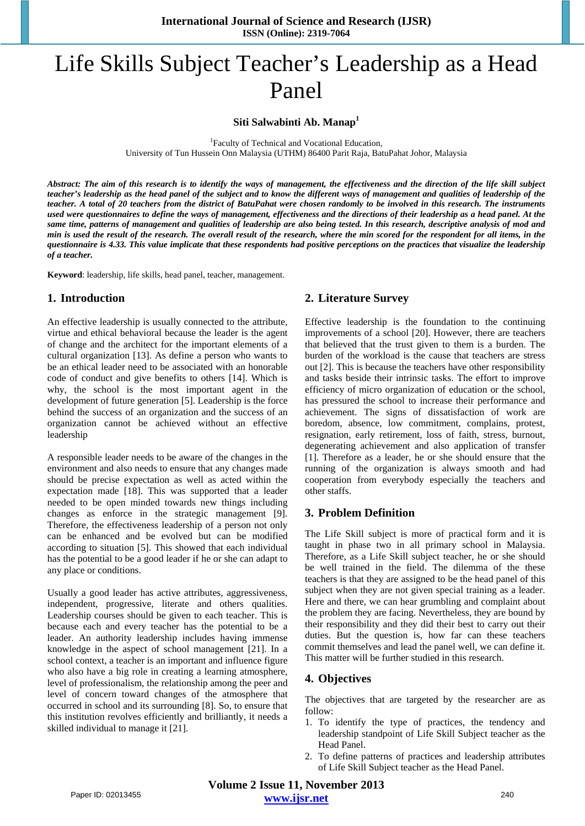# Life Skills Subject Teacher's Leadership as a Head Panel

**Siti Salwabinti Ab. Manap<sup>1</sup>**

<sup>1</sup> Faculty of Technical and Vocational Education, University of Tun Hussein Onn Malaysia (UTHM) 86400 Parit Raja, BatuPahat Johor, Malaysia

*Abstract: The aim of this research is to identify the ways of management, the effectiveness and the direction of the life skill subject teacher's leadership as the head panel of the subject and to know the different ways of management and qualities of leadership of the teacher. A total of 20 teachers from the district of BatuPahat were chosen randomly to be involved in this research. The instruments used were questionnaires to define the ways of management, effectiveness and the directions of their leadership as a head panel. At the same time, patterns of management and qualities of leadership are also being tested. In this research, descriptive analysis of mod and min is used the result of the research. The overall result of the research, where the min scored for the respondent for all items, in the questionnaire is 4.33. This value implicate that these respondents had positive perceptions on the practices that visualize the leadership of a teacher.*

**Keyword**: leadership, life skills, head panel, teacher, management.

## **1. Introduction**

An effective leadership is usually connected to the attribute, virtue and ethical behavioral because the leader is the agent of change and the architect for the important elements of a cultural organization [13]. As define a person who wants to be an ethical leader need to be associated with an honorable code of conduct and give benefits to others [14]. Which is why, the school is the most important agent in the development of future generation [5]. Leadership is the force behind the success of an organization and the success of an organization cannot be achieved without an effective leadership

A responsible leader needs to be aware of the changes in the environment and also needs to ensure that any changes made should be precise expectation as well as acted within the expectation made [18]. This was supported that a leader needed to be open minded towards new things including changes as enforce in the strategic management [9]. Therefore, the effectiveness leadership of a person not only can be enhanced and be evolved but can be modified according to situation [5]. This showed that each individual has the potential to be a good leader if he or she can adapt to any place or conditions.

Usually a good leader has active attributes, aggressiveness, independent, progressive, literate and others qualities. Leadership courses should be given to each teacher. This is because each and every teacher has the potential to be a leader. An authority leadership includes having immense knowledge in the aspect of school management [21]. In a school context, a teacher is an important and influence figure who also have a big role in creating a learning atmosphere, level of professionalism, the relationship among the peer and level of concern toward changes of the atmosphere that occurred in school and its surrounding [8]. So, to ensure that this institution revolves efficiently and brilliantly, it needs a skilled individual to manage it [21].

## **2. Literature Survey**

Effective leadership is the foundation to the continuing improvements of a school [20]. However, there are teachers that believed that the trust given to them is a burden. The burden of the workload is the cause that teachers are stress out [2]. This is because the teachers have other responsibility and tasks beside their intrinsic tasks. The effort to improve efficiency of micro organization of education or the school, has pressured the school to increase their performance and achievement. The signs of dissatisfaction of work are boredom, absence, low commitment, complains, protest, resignation, early retirement, loss of faith, stress, burnout, degenerating achievement and also application of transfer [1]. Therefore as a leader, he or she should ensure that the running of the organization is always smooth and had cooperation from everybody especially the teachers and other staffs.

## **3. Problem Definition**

The Life Skill subject is more of practical form and it is taught in phase two in all primary school in Malaysia. Therefore, as a Life Skill subject teacher, he or she should be well trained in the field. The dilemma of the these teachers is that they are assigned to be the head panel of this subject when they are not given special training as a leader. Here and there, we can hear grumbling and complaint about the problem they are facing. Nevertheless, they are bound by their responsibility and they did their best to carry out their duties. But the question is, how far can these teachers commit themselves and lead the panel well, we can define it. This matter will be further studied in this research.

## **4. Objectives**

The objectives that are targeted by the researcher are as follow:

- 1. To identify the type of practices, the tendency and leadership standpoint of Life Skill Subject teacher as the Head Panel.
- 2. To define patterns of practices and leadership attributes of Life Skill Subject teacher as the Head Panel.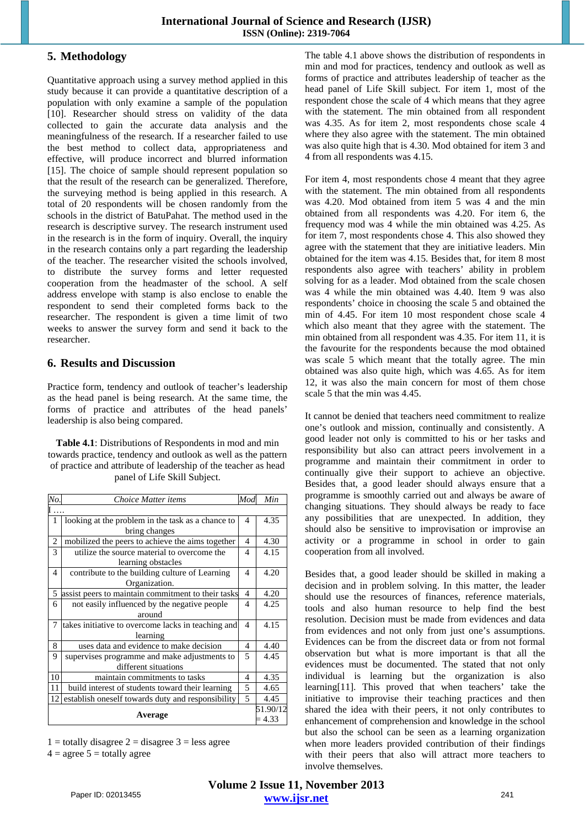## **5. Methodology**

Quantitative approach using a survey method applied in this study because it can provide a quantitative description of a population with only examine a sample of the population [10]. Researcher should stress on validity of the data collected to gain the accurate data analysis and the meaningfulness of the research. If a researcher failed to use the best method to collect data, appropriateness and effective, will produce incorrect and blurred information [15]. The choice of sample should represent population so that the result of the research can be generalized. Therefore, the surveying method is being applied in this research. A total of 20 respondents will be chosen randomly from the schools in the district of BatuPahat. The method used in the research is descriptive survey. The research instrument used in the research is in the form of inquiry. Overall, the inquiry in the research contains only a part regarding the leadership of the teacher. The researcher visited the schools involved, to distribute the survey forms and letter requested cooperation from the headmaster of the school. A self address envelope with stamp is also enclose to enable the respondent to send their completed forms back to the researcher. The respondent is given a time limit of two weeks to answer the survey form and send it back to the researcher.

#### **6. Results and Discussion**

Practice form, tendency and outlook of teacher's leadership as the head panel is being research. At the same time, the forms of practice and attributes of the head panels' leadership is also being compared.

**Table 4.1**: Distributions of Respondents in mod and min towards practice, tendency and outlook as well as the pattern of practice and attribute of leadership of the teacher as head panel of Life Skill Subject.

| No.                      | Choice Matter items                                | Mod            | Min      |
|--------------------------|----------------------------------------------------|----------------|----------|
|                          |                                                    |                |          |
| 1                        | looking at the problem in the task as a chance to  | 4              | 4.35     |
|                          | bring changes                                      |                |          |
| $\overline{c}$           | mobilized the peers to achieve the aims together   | $\overline{4}$ | 4.30     |
| 3                        | utilize the source material to overcome the        | 4              | 4.15     |
|                          | learning obstacles                                 |                |          |
| $\overline{\mathcal{A}}$ | contribute to the building culture of Learning     | 4              | 4.20     |
|                          | Organization.                                      |                |          |
| 5                        | assist peers to maintain commitment to their tasks | $\overline{4}$ | 4.20     |
| 6                        | not easily influenced by the negative people       | 4              | 4.25     |
|                          | around                                             |                |          |
| 7                        | takes initiative to overcome lacks in teaching and | $\overline{4}$ | 4.15     |
|                          | learning                                           |                |          |
| 8                        | uses data and evidence to make decision            | $\overline{4}$ | 4.40     |
| 9                        | supervises programme and make adjustments to       | 5              | 4.45     |
|                          | different situations                               |                |          |
| 10                       | maintain commitments to tasks                      | 4              | 4.35     |
| 11                       | build interest of students toward their learning   | 5              | 4.65     |
| 12                       | establish oneself towards duty and responsibility  | $\overline{5}$ | 4.45     |
| Average                  |                                                    |                | 51.90/12 |
|                          |                                                    |                | 4.33     |

 $1 =$  totally disagree  $2 =$  disagree  $3 =$  less agree

 $4 = \text{agree } 5 = \text{totally agree}$ 

The table 4.1 above shows the distribution of respondents in min and mod for practices, tendency and outlook as well as forms of practice and attributes leadership of teacher as the head panel of Life Skill subject. For item 1, most of the respondent chose the scale of 4 which means that they agree with the statement. The min obtained from all respondent was 4.35. As for item 2, most respondents chose scale 4 where they also agree with the statement. The min obtained was also quite high that is 4.30. Mod obtained for item 3 and 4 from all respondents was 4.15.

For item 4, most respondents chose 4 meant that they agree with the statement. The min obtained from all respondents was 4.20. Mod obtained from item 5 was 4 and the min obtained from all respondents was 4.20. For item 6, the frequency mod was 4 while the min obtained was 4.25. As for item 7, most respondents chose 4. This also showed they agree with the statement that they are initiative leaders. Min obtained for the item was 4.15. Besides that, for item 8 most respondents also agree with teachers' ability in problem solving for as a leader. Mod obtained from the scale chosen was 4 while the min obtained was 4.40. Item 9 was also respondents' choice in choosing the scale 5 and obtained the min of 4.45. For item 10 most respondent chose scale 4 which also meant that they agree with the statement. The min obtained from all respondent was 4.35. For item 11, it is the favourite for the respondents because the mod obtained was scale 5 which meant that the totally agree. The min obtained was also quite high, which was 4.65. As for item 12, it was also the main concern for most of them chose scale 5 that the min was 4.45.

It cannot be denied that teachers need commitment to realize one's outlook and mission, continually and consistently. A good leader not only is committed to his or her tasks and responsibility but also can attract peers involvement in a programme and maintain their commitment in order to continually give their support to achieve an objective. Besides that, a good leader should always ensure that a programme is smoothly carried out and always be aware of changing situations. They should always be ready to face any possibilities that are unexpected. In addition, they should also be sensitive to improvisation or improvise an activity or a programme in school in order to gain cooperation from all involved.

Besides that, a good leader should be skilled in making a decision and in problem solving. In this matter, the leader should use the resources of finances, reference materials, tools and also human resource to help find the best resolution. Decision must be made from evidences and data from evidences and not only from just one's assumptions. Evidences can be from the discreet data or from not formal observation but what is more important is that all the evidences must be documented. The stated that not only individual is learning but the organization is also learning[11]. This proved that when teachers' take the initiative to improvise their teaching practices and then shared the idea with their peers, it not only contributes to enhancement of comprehension and knowledge in the school but also the school can be seen as a learning organization when more leaders provided contribution of their findings with their peers that also will attract more teachers to involve themselves.

**Volume 2 Issue 11, November 2013 www.ijsr.net** Paper ID: 02013455 241